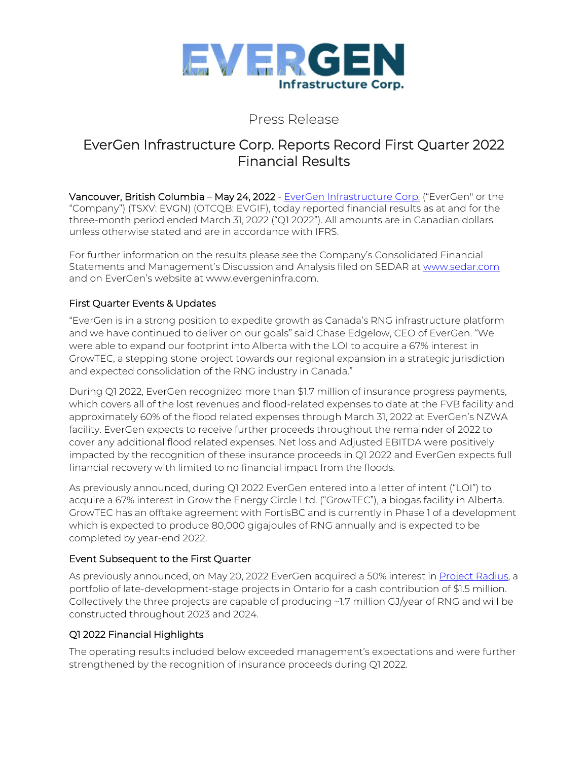

## Press Release

# EverGen Infrastructure Corp. Reports Record First Quarter 2022 Financial Results

Vancouver, British Columbia - May 24, 2022 - EverGen [Infrastructure](https://www.evergeninfra.com/) Corp. ("EverGen" or the "Company") (TSXV: EVGN) (OTCQB: EVGIF), today reported financial results as at and for the three-month period ended March 31, 2022 ("Q1 2022"). All amounts are in Canadian dollars unless otherwise stated and are in accordance with IFRS.

For further information on the results please see the Company's Consolidated Financial Statements and Management's Discussion and Analysis filed on SEDAR at [www.sedar.com](http://www.sedar.com/) and on EverGen's website at www.evergeninfra.com.

#### First Quarter Events & Updates

"EverGen is in a strong position to expedite growth as Canada's RNG infrastructure platform and we have continued to deliver on our goals" said Chase Edgelow, CEO of EverGen. "We were able to expand our footprint into Alberta with the LOI to acquire a 67% interest in GrowTEC, a stepping stone project towards our regional expansion in a strategic jurisdiction and expected consolidation of the RNG industry in Canada."

During Q1 2022, EverGen recognized more than \$1.7 million of insurance progress payments, which covers all of the lost revenues and flood-related expenses to date at the FVB facility and approximately 60% of the flood related expenses through March 31, 2022 at EverGen's NZWA facility. EverGen expects to receive further proceeds throughout the remainder of 2022 to cover any additional flood related expenses. Net loss and Adjusted EBITDA were positively impacted by the recognition of these insurance proceeds in Q1 2022 and EverGen expects full financial recovery with limited to no financial impact from the floods.

As previously announced, during Q1 2022 EverGen entered into a letter of intent ("LOI") to acquire a 67% interest in Grow the Energy Circle Ltd. ("GrowTEC"), a biogas facility in Alberta. GrowTEC has an offtake agreement with FortisBC and is currently in Phase 1 of a development which is expected to produce 80,000 gigajoules of RNG annually and is expected to be completed by year-end 2022.

#### Event Subsequent to the First Quarter

As previously announced, on May 20, 2022 EverGen acquired a 50% interest i[n Project Radius,](https://www.evergeninfra.com/post/evergen-acquires-50-interest-in-project-radius-development-portfolio-of-3-rng-projects-in-ontario) a portfolio of late-development-stage projects in Ontario for a cash contribution of \$1.5 million. Collectively the three projects are capable of producing ~1.7 million GJ/year of RNG and will be constructed throughout 2023 and 2024.

#### Q1 2022 Financial Highlights

The operating results included below exceeded management's expectations and were further strengthened by the recognition of insurance proceeds during Q1 2022.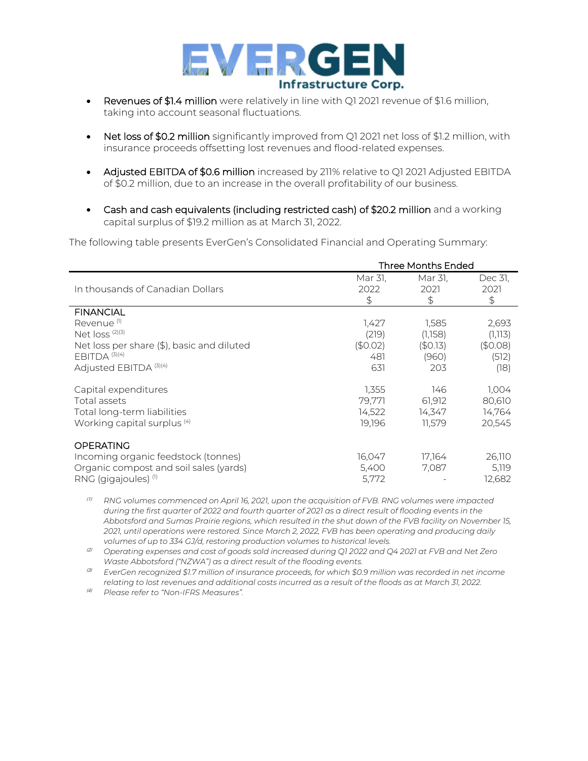

- Revenues of \$1.4 million were relatively in line with Q1 2021 revenue of \$1.6 million, taking into account seasonal fluctuations.
- Net loss of \$0.2 million significantly improved from Q1 2021 net loss of \$1.2 million, with insurance proceeds offsetting lost revenues and flood-related expenses.
- Adjusted EBITDA of \$0.6 million increased by 211% relative to Q1 2021 Adjusted EBITDA of \$0.2 million, due to an increase in the overall profitability of our business.
- Cash and cash equivalents (including restricted cash) of \$20.2 million and a working capital surplus of \$19.2 million as at March 31, 2022.

The following table presents EverGen's Consolidated Financial and Operating Summary:

|                                                                                                                                                                                      | Three Months Ended                       |                                             |                                               |
|--------------------------------------------------------------------------------------------------------------------------------------------------------------------------------------|------------------------------------------|---------------------------------------------|-----------------------------------------------|
| In thousands of Canadian Dollars                                                                                                                                                     | Mar 31,<br>2022                          | Mar 31.<br>2021                             | Dec 31.<br>2021                               |
|                                                                                                                                                                                      | \$                                       | \$                                          | $\frac{4}{5}$                                 |
| <b>FINANCIAL</b><br>Revenue <sup>(1)</sup><br>Net $loss$ <sup><math>(2)(3)</math></sup><br>Net loss per share (\$), basic and diluted<br>$EBITDA$ $(3)(4)$<br>Adjusted EBITDA (3)(4) | 1.427<br>(219)<br>(\$0.02)<br>481<br>631 | 1,585<br>(1,158)<br>(50.13)<br>(960)<br>203 | 2,693<br>(1,113)<br>(\$0.08)<br>(512)<br>(18) |
| Capital expenditures<br>Total assets<br>Total long-term liabilities<br>Working capital surplus <sup>(4)</sup>                                                                        | 1,355<br>79,771<br>14,522<br>19,196      | 146<br>61,912<br>14,347<br>11,579           | 1,004<br>80,610<br>14,764<br>20,545           |
| <b>OPERATING</b><br>Incoming organic feedstock (tonnes)<br>Organic compost and soil sales (yards)<br>RNG (gigajoules) <sup>(1)</sup>                                                 | 16,047<br>5,400<br>5,772                 | 17,164<br>7,087                             | 26,110<br>5,119<br>12,682                     |

(1) *RNG volumes commenced on April 16, 2021, upon the acquisition of FVB. RNG volumes were impacted* during the first quarter of 2022 and fourth quarter of 2021 as a direct result of flooding events in the Abbotsford and Sumas Prairie regions, which resulted in the shut down of the FVB facility on November 15, *2021, until operations were restored. Since March 2, 2022, FVB has been operating and producing daily volumes of up to 334 GJ/d, restoring production volumes to historical levels.* 

<sup>(2)</sup> Operating expenses and cost of goods sold increased during Q1 2022 and Q4 2021 at FVB and Net Zero *Waste Abbotsford ("NZWA") as a direct result of the flooding events.*

(3) *EverGen recognized \$1.7 million of insurance proceeds, for which \$0.9 million was recorded in net income relating to lost revenues and additional costs incurred as a result of the floods as at March 31, 2022.* 

(4) *Please refer to "Non-IFRS Measures".*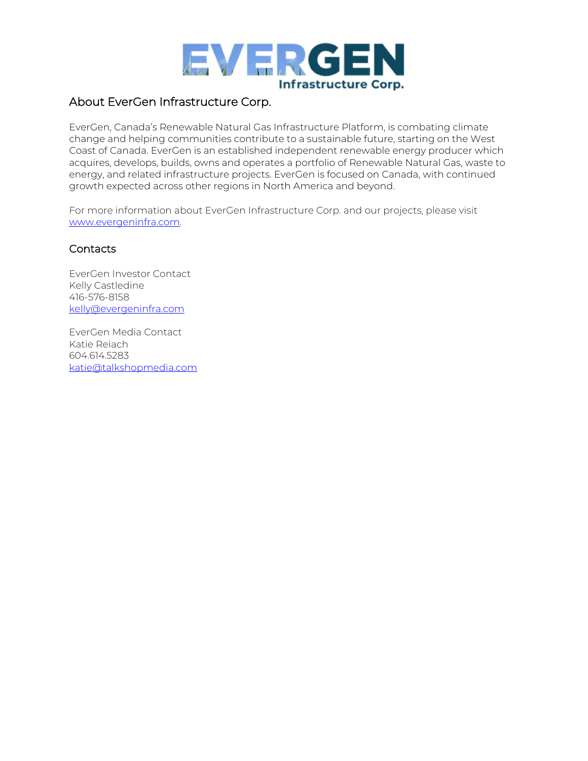

## About EverGen Infrastructure Corp.

EverGen, Canada's Renewable Natural Gas Infrastructure Platform, is combating climate change and helping communities contribute to a sustainable future, starting on the West Coast of Canada. EverGen is an established independent renewable energy producer which acquires, develops, builds, owns and operates a portfolio of Renewable Natural Gas, waste to energy, and related infrastructure projects. EverGen is focused on Canada, with continued growth expected across other regions in North America and beyond.

For more information about EverGen Infrastructure Corp. and our projects, please visit [www.evergeninfra.com.](http://www.evergeninfra.com/) 

#### **Contacts**

EverGen Investor Contact Kelly Castledine 416-576-8158 [kelly@evergeninfra.com](mailto:kelly@evergeninfra.com)

EverGen Media Contact Katie Reiach 604.614.5283 [katie@talkshopmedia.com](mailto:katie@talkshopmedia.com)